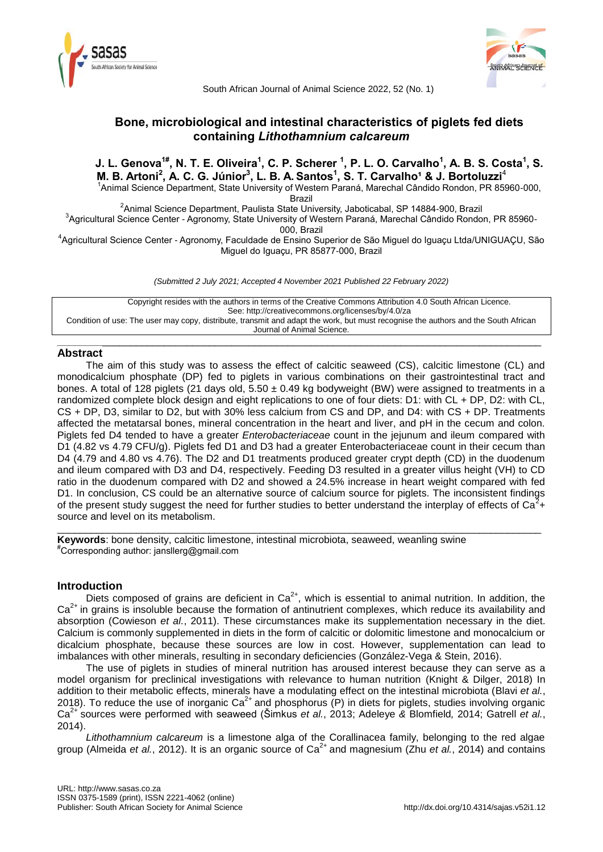



South African Journal of Animal Science 2022, 52 (No. 1)

# **Bone, microbiological and intestinal characteristics of piglets fed diets containing** *Lithothamnium calcareum*

J. L. Genova $^{1\#},$  N. T. E. Oliveira $^1,$  C. P. Scherer  $^1,$  P. L. O. Carvalho $^1,$  A. B. S. Costa $^1,$  S. **M. B. Artoni<sup>2</sup> , A. C. G. Júnior<sup>3</sup> , L. B. A. Santos<sup>1</sup> , S. T. Carvalho¹ & J. Bortoluzzi**<sup>4</sup> <sup>1</sup> Animal Science Department, State University of Western Paraná, Marechal Cândido Rondon, PR 85960-000,

Brazil

<sup>2</sup>Animal Science Department, Paulista State University, Jaboticabal, SP 14884-900, Brazil 3 Agricultural Science Center - Agronomy, State University of Western Paraná, Marechal Cândido Rondon, PR 85960-

000, Brazil

4 Agricultural Science Center - Agronomy, Faculdade de Ensino Superior de São Miguel do Iguaçu Ltda/UNIGUAÇU, São Miguel do Iguaçu, PR 85877-000, Brazil

*(Submitted 2 July 2021; Accepted 4 November 2021 Published 22 February 2022)*

Copyright resides with the authors in terms of the Creative Commons Attribution 4.0 South African Licence. See: http://creativecommons.org/licenses/by/4.0/za Condition of use: The user may copy, distribute, transmit and adapt the work, but must recognise the authors and the South African Journal of Animal Science.

## \_\_\_\_\_\_\_\_\_\_\_\_\_\_\_\_\_\_\_\_\_\_\_\_\_\_\_\_\_\_\_\_\_\_\_\_\_\_\_\_\_\_\_\_\_\_\_\_\_\_\_\_\_\_\_\_\_\_\_\_\_\_\_\_\_\_\_\_\_\_\_\_\_\_\_\_\_\_\_\_\_\_\_\_\_\_ **Abstract**

The aim of this study was to assess the effect of calcitic seaweed (CS), calcitic limestone (CL) and monodicalcium phosphate (DP) fed to piglets in various combinations on their gastrointestinal tract and bones. A total of 128 piglets (21 days old,  $5.50 \pm 0.49$  kg bodyweight (BW) were assigned to treatments in a randomized complete block design and eight replications to one of four diets: D1: with CL + DP, D2: with CL, CS + DP, D3, similar to D2, but with 30% less calcium from CS and DP, and D4: with CS + DP. Treatments affected the metatarsal bones, mineral concentration in the heart and liver, and pH in the cecum and colon. Piglets fed D4 tended to have a greater *Enterobacteriaceae* count in the jejunum and ileum compared with D1 (4.82 vs 4.79 CFU/g). Piglets fed D1 and D3 had a greater Enterobacteriaceae count in their cecum than D4 (4.79 and 4.80 vs 4.76). The D2 and D1 treatments produced greater crypt depth (CD) in the duodenum and ileum compared with D3 and D4, respectively. Feeding D3 resulted in a greater villus height (VH) to CD ratio in the duodenum compared with D2 and showed a 24.5% increase in heart weight compared with fed D1. In conclusion, CS could be an alternative source of calcium source for piglets. The inconsistent findings of the present study suggest the need for further studies to better understand the interplay of effects of  $Ca^{2}+$ source and level on its metabolism.

\_\_\_\_\_\_\_\_\_\_\_\_\_\_\_\_\_\_\_\_\_\_\_\_\_\_\_\_\_\_\_\_\_\_\_\_\_\_\_\_\_\_\_\_\_\_\_\_\_\_\_\_\_\_\_\_\_\_\_\_\_\_\_\_\_\_\_\_\_\_\_\_\_\_\_\_\_\_\_\_\_\_\_\_\_\_

**Keywords**: bone density, calcitic limestone, intestinal microbiota, seaweed, weanling swine #Corresponding author: jansllerg@gmail.com

## **Introduction**

Diets composed of grains are deficient in  $Ca^{2+}$ , which is essential to animal nutrition. In addition, the  $Ca<sup>2+</sup>$  in grains is insoluble because the formation of antinutrient complexes, which reduce its availability and absorption (Cowieson *et al.*, 2011). These circumstances make its supplementation necessary in the diet. Calcium is commonly supplemented in diets in the form of calcitic or dolomitic limestone and monocalcium or dicalcium phosphate, because these sources are low in cost. However, supplementation can lead to imbalances with other minerals, resulting in secondary deficiencies (González-Vega & Stein, 2016).

The use of piglets in studies of mineral nutrition has aroused interest because they can serve as a model organism for preclinical investigations with relevance to human nutrition (Knight & Dilger, 2018) In addition to their metabolic effects, minerals have a modulating effect on the intestinal microbiota (Blavi *et al.*, 2018). To reduce the use of inorganic  $Ca^{2+}$  and phosphorus (P) in diets for piglets, studies involving organic Ca2+ sources were performed with seaweed (Šimkus *et al.*, 2013; Adeleye *&* Blomfield*,* 2014; Gatrell *et al.*, 2014).

*Lithothamnium calcareum* is a limestone alga of the Corallinacea family, belonging to the red algae group (Almeida *et al.*, 2012). It is an organic source of Ca<sup>2+</sup> and magnesium (Zhu *et al.*, 2014) and contains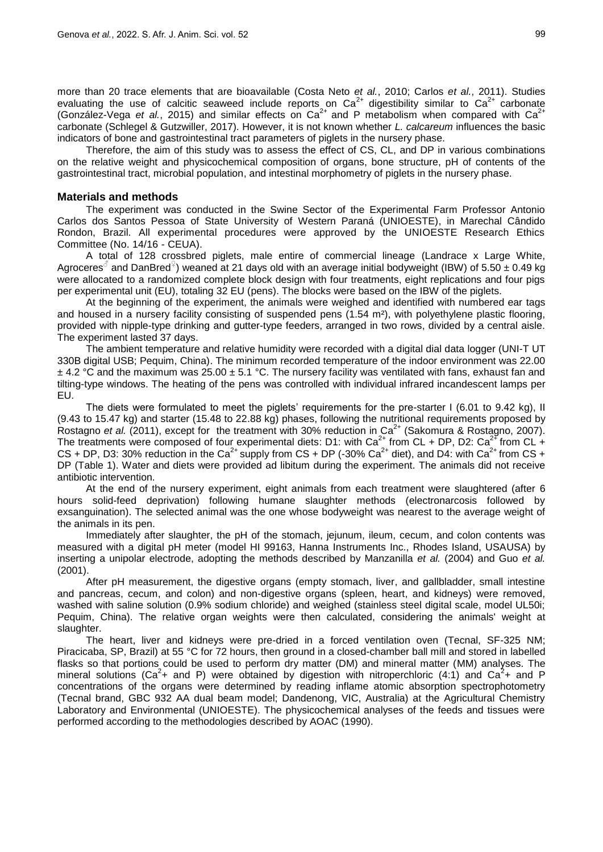more than 20 trace elements that are bioavailable (Costa Neto *et al.*, 2010; Carlos *et al.*, 2011). Studies evaluating the use of calcitic seaweed include reports on  $Ca^{2+}$  digestibility similar to  $Ca^{2+}$  carbonate (González-Vega *et al.*, 2015) and similar effects on  $Ca^{2+}$  and P metabolism when compared with  $Ca^{2+}$ carbonate (Schlegel & Gutzwiller, 2017). However, it is not known whether *L. calcareum* influences the basic indicators of bone and gastrointestinal tract parameters of piglets in the nursery phase.

Therefore, the aim of this study was to assess the effect of CS, CL, and DP in various combinations on the relative weight and physicochemical composition of organs, bone structure, pH of contents of the gastrointestinal tract, microbial population, and intestinal morphometry of piglets in the nursery phase.

## **Materials and methods**

The experiment was conducted in the Swine Sector of the Experimental Farm Professor Antonio Carlos dos Santos Pessoa of State University of Western Paraná (UNIOESTE), in Marechal Cândido Rondon, Brazil. All experimental procedures were approved by the UNIOESTE Research Ethics Committee (No. 14/16 - CEUA).

A total of 128 crossbred piglets, male entire of commercial lineage (Landrace x Large White, Agroceres<sup>3</sup> and DanBred<sup>♀</sup>) weaned at 21 days old with an average initial bodyweight (IBW) of 5.50 ± 0.49 kg were allocated to a randomized complete block design with four treatments, eight replications and four pigs per experimental unit (EU), totaling 32 EU (pens). The blocks were based on the IBW of the piglets.

At the beginning of the experiment, the animals were weighed and identified with numbered ear tags and housed in a nursery facility consisting of suspended pens (1.54 m²), with polyethylene plastic flooring, provided with nipple-type drinking and gutter-type feeders, arranged in two rows, divided by a central aisle. The experiment lasted 37 days.

The ambient temperature and relative humidity were recorded with a digital dial data logger (UNI-T UT 330B digital USB; Pequim, China). The minimum recorded temperature of the indoor environment was 22.00  $\pm$  4.2 °C and the maximum was 25.00  $\pm$  5.1 °C. The nursery facility was ventilated with fans, exhaust fan and tilting-type windows. The heating of the pens was controlled with individual infrared incandescent lamps per EU.

The diets were formulated to meet the piglets' requirements for the pre-starter I (6.01 to 9.42 kg), II (9.43 to 15.47 kg) and starter (15.48 to 22.88 kg) phases, following the nutritional requirements proposed by Rostagno *et al.* (2011), except for the treatment with 30% reduction in Ca<sup>2+</sup> (Sakomura & Rostagno, 2007). The treatments were composed of four experimental diets: D1: with Ca<sup>2+</sup> from CL + DP, D2: Ca<sup>2+</sup> from CL + CS + DP, D3: 30% reduction in the Ca<sup>2+</sup> supply from CS + DP (-30% Ca<sup>2+</sup> diet), and D4: with Ca<sup>2+</sup> from CS + DP (Table 1). Water and diets were provided ad libitum during the experiment. The animals did not receive antibiotic intervention.

At the end of the nursery experiment, eight animals from each treatment were slaughtered (after 6 hours solid-feed deprivation) following humane slaughter methods (electronarcosis followed by exsanguination). The selected animal was the one whose bodyweight was nearest to the average weight of the animals in its pen.

Immediately after slaughter, the pH of the stomach, jejunum, ileum, cecum, and colon contents was measured with a digital pH meter (model HI 99163, Hanna Instruments Inc., Rhodes Island, USAUSA) by inserting a unipolar electrode, adopting the methods described by Manzanilla *et al.* (2004) and Guo *et al.* (2001).

After pH measurement, the digestive organs (empty stomach, liver, and gallbladder, small intestine and pancreas, cecum, and colon) and non-digestive organs (spleen, heart, and kidneys) were removed, washed with saline solution (0.9% sodium chloride) and weighed (stainless steel digital scale, model UL50i; Pequim, China). The relative organ weights were then calculated, considering the animals' weight at slaughter.

The heart, liver and kidneys were pre-dried in a forced ventilation oven (Tecnal, SF-325 NM; Piracicaba, SP, Brazil) at 55 °C for 72 hours, then ground in a closed-chamber ball mill and stored in labelled flasks so that portions could be used to perform dry matter (DM) and mineral matter (MM) analyses. The mineral solutions (Ca<sup>2</sup>+ and P) were obtained by digestion with nitroperchloric (4:1) and Ca<sup>2</sup>+ and P concentrations of the organs were determined by reading inflame atomic absorption spectrophotometry (Tecnal brand, GBC 932 AA dual beam model; Dandenong, VIC, Australia) at the Agricultural Chemistry Laboratory and Environmental (UNIOESTE). The physicochemical analyses of the feeds and tissues were performed according to the methodologies described by AOAC (1990).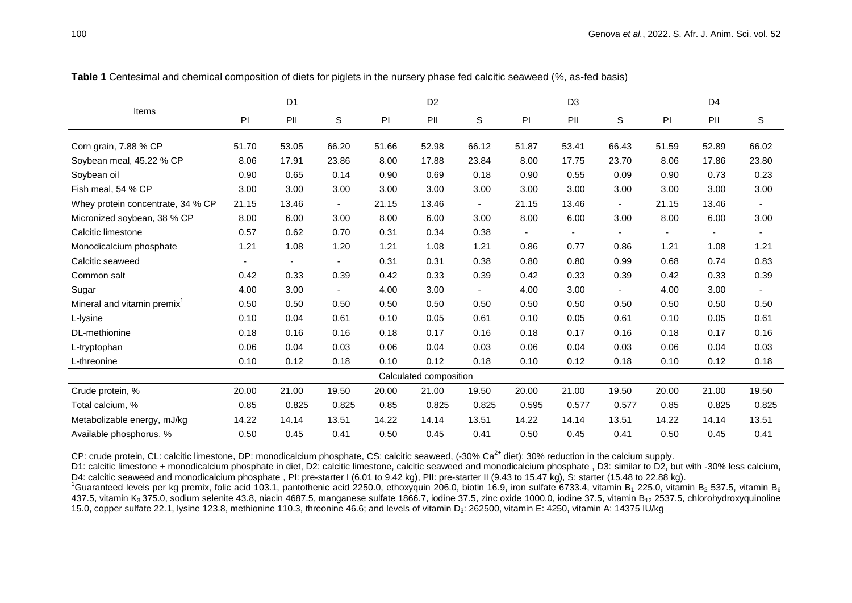|                          | D <sub>1</sub> |                |       | D <sub>2</sub> |        |       | D <sub>3</sub> |                          |                | D <sub>4</sub> |                |
|--------------------------|----------------|----------------|-------|----------------|--------|-------|----------------|--------------------------|----------------|----------------|----------------|
| PI                       | PII            | S              | PI    | PII            | S      | PI    | PII            | $\mathsf S$              | PI             | PII            | $\mathbb S$    |
| 51.70                    | 53.05          | 66.20          | 51.66 | 52.98          | 66.12  | 51.87 | 53.41          | 66.43                    | 51.59          | 52.89          | 66.02          |
| 8.06                     | 17.91          | 23.86          | 8.00  | 17.88          | 23.84  | 8.00  | 17.75          | 23.70                    | 8.06           | 17.86          | 23.80          |
| 0.90                     | 0.65           | 0.14           | 0.90  | 0.69           | 0.18   | 0.90  | 0.55           | 0.09                     | 0.90           | 0.73           | 0.23           |
| 3.00                     | 3.00           | 3.00           | 3.00  | 3.00           | 3.00   | 3.00  | 3.00           | 3.00                     | 3.00           | 3.00           | 3.00           |
| 21.15                    | 13.46          | $\blacksquare$ | 21.15 | 13.46          | $\sim$ | 21.15 | 13.46          | $\blacksquare$           | 21.15          | 13.46          | $\blacksquare$ |
| 8.00                     | 6.00           | 3.00           | 8.00  | 6.00           | 3.00   | 8.00  | 6.00           | 3.00                     | 8.00           | 6.00           | 3.00           |
| 0.57                     | 0.62           | 0.70           | 0.31  | 0.34           | 0.38   |       | $\blacksquare$ |                          | $\blacksquare$ | $\blacksquare$ | ٠              |
| 1.21                     | 1.08           | 1.20           | 1.21  | 1.08           | 1.21   | 0.86  | 0.77           | 0.86                     | 1.21           | 1.08           | 1.21           |
| $\overline{\phantom{a}}$ |                | $\blacksquare$ | 0.31  | 0.31           | 0.38   | 0.80  | 0.80           | 0.99                     | 0.68           | 0.74           | 0.83           |
| 0.42                     | 0.33           | 0.39           | 0.42  | 0.33           | 0.39   | 0.42  | 0.33           | 0.39                     | 0.42           | 0.33           | 0.39           |
| 4.00                     | 3.00           | $\blacksquare$ | 4.00  | 3.00           | $\sim$ | 4.00  | 3.00           | $\overline{\phantom{a}}$ | 4.00           | 3.00           | ۰.             |
| 0.50                     | 0.50           | 0.50           | 0.50  | 0.50           | 0.50   | 0.50  | 0.50           | 0.50                     | 0.50           | 0.50           | 0.50           |
| 0.10                     | 0.04           | 0.61           | 0.10  | 0.05           | 0.61   | 0.10  | 0.05           | 0.61                     | 0.10           | 0.05           | 0.61           |
| 0.18                     | 0.16           | 0.16           | 0.18  | 0.17           | 0.16   | 0.18  | 0.17           | 0.16                     | 0.18           | 0.17           | 0.16           |
| 0.06                     | 0.04           | 0.03           | 0.06  | 0.04           | 0.03   | 0.06  | 0.04           | 0.03                     | 0.06           | 0.04           | 0.03           |
| 0.10                     | 0.12           | 0.18           | 0.10  | 0.12           | 0.18   | 0.10  | 0.12           | 0.18                     | 0.10           | 0.12           | 0.18           |
| Calculated composition   |                |                |       |                |        |       |                |                          |                |                |                |
| 20.00                    | 21.00          | 19.50          | 20.00 | 21.00          | 19.50  | 20.00 | 21.00          | 19.50                    | 20.00          | 21.00          | 19.50          |
| 0.85                     | 0.825          | 0.825          | 0.85  | 0.825          | 0.825  | 0.595 | 0.577          | 0.577                    | 0.85           | 0.825          | 0.825          |
| 14.22                    | 14.14          | 13.51          | 14.22 | 14.14          | 13.51  | 14.22 | 14.14          | 13.51                    | 14.22          | 14.14          | 13.51          |
| 0.50                     | 0.45           | 0.41           | 0.50  | 0.45           | 0.41   | 0.50  | 0.45           | 0.41                     | 0.50           | 0.45           | 0.41           |
|                          |                |                |       |                |        |       |                |                          |                |                |                |

**Table 1** Centesimal and chemical composition of diets for piglets in the nursery phase fed calcitic seaweed (%, as-fed basis)

CP: crude protein, CL: calcitic limestone, DP: monodicalcium phosphate, CS: calcitic seaweed,  $(.30\% \text{ Ca}^{2+}$  diet): 30% reduction in the calcium supply.

D1: calcitic limestone + monodicalcium phosphate in diet, D2: calcitic limestone, calcitic seaweed and monodicalcium phosphate, D3: similar to D2, but with -30% less calcium, D4: calcitic seaweed and monodicalcium phosphate , PI: pre-starter I (6.01 to 9.42 kg), PII: pre-starter II (9.43 to 15.47 kg), S: starter (15.48 to 22.88 kg).

<sup>1</sup>Guaranteed levels per kg premix, folic acid 103.1, pantothenic acid 2250.0, ethoxyquin 206.0, biotin 16.9, iron sulfate 6733.4, vitamin B<sub>1</sub> 225.0, vitamin B<sub>2</sub> 537.5, vitamin B<sub>6</sub> 437.5, vitamin K<sub>3</sub> 375.0, sodium selenite 43.8, niacin 4687.5, manganese sulfate 1866.7, iodine 37.5, zinc oxide 1000.0, iodine 37.5, vitamin B<sub>12</sub> 2537.5, chlorohydroxyquinoline 15.0, copper sulfate 22.1, Ivsine 123.8, methionine 110.3, threonine 46.6; and levels of vitamin D<sub>3</sub>: 262500, vitamin E: 4250, vitamin A: 14375 IU/kg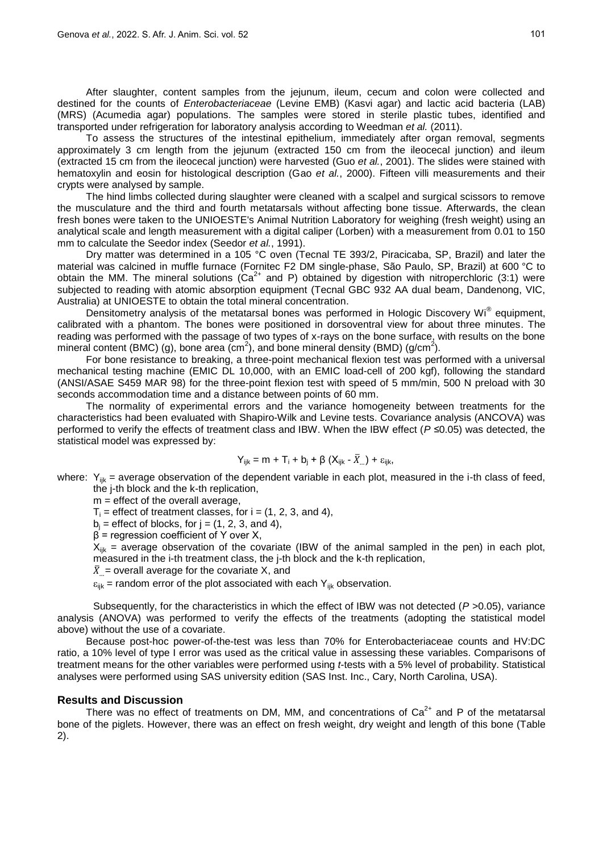After slaughter, content samples from the jejunum, ileum, cecum and colon were collected and destined for the counts of *Enterobacteriaceae* (Levine EMB) (Kasvi agar) and lactic acid bacteria (LAB) (MRS) (Acumedia agar) populations. The samples were stored in sterile plastic tubes, identified and transported under refrigeration for laboratory analysis according to Weedman *et al.* (2011).

To assess the structures of the intestinal epithelium, immediately after organ removal, segments approximately 3 cm length from the jejunum (extracted 150 cm from the ileocecal junction) and ileum (extracted 15 cm from the ileocecal junction) were harvested (Guo *et al.*, 2001). The slides were stained with hematoxylin and eosin for histological description (Gao *et al.*, 2000). Fifteen villi measurements and their crypts were analysed by sample.

The hind limbs collected during slaughter were cleaned with a scalpel and surgical scissors to remove the musculature and the third and fourth metatarsals without affecting bone tissue. Afterwards, the clean fresh bones were taken to the UNIOESTE's Animal Nutrition Laboratory for weighing (fresh weight) using an analytical scale and length measurement with a digital caliper (Lorben) with a measurement from 0.01 to 150 mm to calculate the Seedor index (Seedor *et al.*, 1991).

Dry matter was determined in a 105 °C oven (Tecnal TE 393/2, Piracicaba, SP, Brazil) and later the material was calcined in muffle furnace (Fornitec F2 DM single-phase, São Paulo, SP, Brazil) at 600 °C to obtain the MM. The mineral solutions  $(Ca^{2+}$  and P) obtained by digestion with nitroperchloric (3:1) were subjected to reading with atomic absorption equipment (Tecnal GBC 932 AA dual beam, Dandenong, VIC, Australia) at UNIOESTE to obtain the total mineral concentration.

Densitometry analysis of the metatarsal bones was performed in Hologic Discovery Wi® equipment, calibrated with a phantom. The bones were positioned in dorsoventral view for about three minutes. The reading was performed with the passage of two types of x-rays on the bone surface, with results on the bone mineral content (BMC) (g), bone area (cm<sup>2</sup>), and bone mineral density (BMD) (g/cm<sup>2</sup>).

For bone resistance to breaking, a three-point mechanical flexion test was performed with a universal mechanical testing machine (EMIC DL 10,000, with an EMIC load-cell of 200 kgf), following the standard (ANSI/ASAE S459 MAR 98) for the three-point flexion test with speed of 5 mm/min, 500 N preload with 30 seconds accommodation time and a distance between points of 60 mm.

The normality of experimental errors and the variance homogeneity between treatments for the characteristics had been evaluated with Shapiro-Wilk and Levine tests. Covariance analysis (ANCOVA) was performed to verify the effects of treatment class and IBW. When the IBW effect (*P ≤*0.05) was detected, the statistical model was expressed by:

$$
Y_{ijk} = m + T_i + b_j + \beta (X_{ijk} - \overline{X}_{...}) + \epsilon_{ijk},
$$

where:  $Y_{ijk}$  = average observation of the dependent variable in each plot, measured in the i-th class of feed, the j-th block and the k-th replication,

 $m =$  effect of the overall average,

 $T_i$  = effect of treatment classes, for  $i = (1, 2, 3,$  and 4),

 $b_i$  = effect of blocks, for j = (1, 2, 3, and 4),

 $β = regression coefficient of Y over X,$ 

 $X_{ijk}$  = average observation of the covariate (IBW of the animal sampled in the pen) in each plot, measured in the i-th treatment class, the j-th block and the k-th replication,

 $\overline{X}$  = overall average for the covariate X, and

 $\varepsilon_{ijk}$  = random error of the plot associated with each Y<sub>ijk</sub> observation.

Subsequently, for the characteristics in which the effect of IBW was not detected (*P >*0.05), variance analysis (ANOVA) was performed to verify the effects of the treatments (adopting the statistical model above) without the use of a covariate.

Because post-hoc power-of-the-test was less than 70% for Enterobacteriaceae counts and HV:DC ratio, a 10% level of type I error was used as the critical value in assessing these variables. Comparisons of treatment means for the other variables were performed using *t*-tests with a 5% level of probability. Statistical analyses were performed using SAS university edition (SAS Inst. Inc., Cary, North Carolina, USA).

## **Results and Discussion**

There was no effect of treatments on DM, MM, and concentrations of  $Ca<sup>2+</sup>$  and P of the metatarsal bone of the piglets. However, there was an effect on fresh weight, dry weight and length of this bone (Table 2).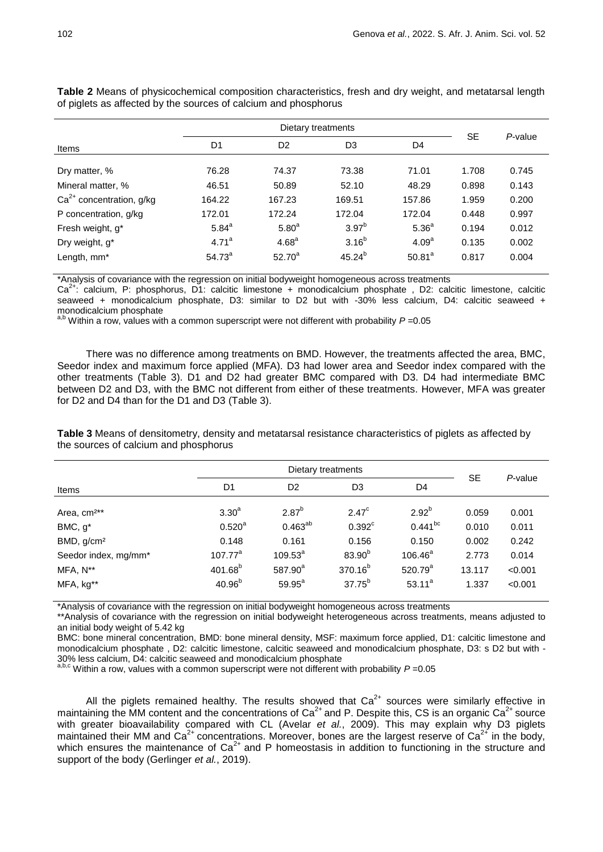| Items                      | D <sub>1</sub>    | D <sub>2</sub>    | D <sub>3</sub>    | D4                | <b>SE</b> | P-value |
|----------------------------|-------------------|-------------------|-------------------|-------------------|-----------|---------|
| Dry matter, %              | 76.28             | 74.37             | 73.38             | 71.01             | 1.708     | 0.745   |
| Mineral matter, %          | 46.51             | 50.89             | 52.10             | 48.29             | 0.898     | 0.143   |
| $Ca2+$ concentration, g/kg | 164.22            | 167.23            | 169.51            | 157.86            | 1.959     | 0.200   |
| P concentration, g/kg      | 172.01            | 172.24            | 172.04            | 172.04            | 0.448     | 0.997   |
| Fresh weight, g*           | $5.84^{a}$        | 5.80 <sup>a</sup> | 3.97 <sup>b</sup> | 5.36 <sup>a</sup> | 0.194     | 0.012   |
| Dry weight, g <sup>*</sup> | 4.71 <sup>a</sup> | 4.68 <sup>a</sup> | $3.16^{b}$        | 4.09 <sup>a</sup> | 0.135     | 0.002   |
| Length, mm <sup>*</sup>    | $54.73^{a}$       | $52.70^a$         | $45.24^{b}$       | $50.81^{a}$       | 0.817     | 0.004   |

**Table 2** Means of physicochemical composition characteristics, fresh and dry weight, and metatarsal length of piglets as affected by the sources of calcium and phosphorus

\*Analysis of covariance with the regression on initial bodyweight homogeneous across treatments

 $Ca^{2+}$ : calcium, P: phosphorus, D1: calcitic limestone + monodicalcium phosphate , D2: calcitic limestone, calcitic seaweed + monodicalcium phosphate, D3: similar to D2 but with -30% less calcium, D4: calcitic seaweed + monodicalcium phosphate

a,b Within a row, values with a common superscript were not different with probability *P* =0.05

There was no difference among treatments on BMD. However, the treatments affected the area, BMC, Seedor index and maximum force applied (MFA). D3 had lower area and Seedor index compared with the other treatments (Table 3). D1 and D2 had greater BMC compared with D3. D4 had intermediate BMC between D2 and D3, with the BMC not different from either of these treatments. However, MFA was greater for D2 and D4 than for the D1 and D3 (Table 3).

**Table 3** Means of densitometry, density and metatarsal resistance characteristics of piglets as affected by the sources of calcium and phosphorus

|                         |                   | <b>SE</b>           | P-value              |                |        |         |
|-------------------------|-------------------|---------------------|----------------------|----------------|--------|---------|
| Items                   | D <sub>1</sub>    | D <sub>2</sub>      | D <sub>3</sub>       | D <sub>4</sub> |        |         |
| Area, cm <sup>2**</sup> | 3.30 <sup>a</sup> | $2.87^{b}$          | $2.47^{\circ}$       | $2.92^{b}$     | 0.059  | 0.001   |
| $BMC, g^*$              | $0.520^{a}$       | $0.463^{ab}$        | $0.392$ <sup>c</sup> | $0.441^{bc}$   | 0.010  | 0.011   |
| BMD, g/cm <sup>2</sup>  | 0.148             | 0.161               | 0.156                | 0.150          | 0.002  | 0.242   |
| Seedor index, mg/mm*    | $107.77^a$        | $109.53^{a}$        | $83.90^{b}$          | $106.46^a$     | 2.773  | 0.014   |
| MFA, N**                | $401.68^{b}$      | 587.90 <sup>a</sup> | 370.16 <sup>b</sup>  | $520.79^{a}$   | 13.117 | < 0.001 |
| MFA, kg**               | $40.96^{b}$       | $59.95^{\circ}$     | $37.75^{b}$          | $53.11^a$      | 1.337  | < 0.001 |

\*Analysis of covariance with the regression on initial bodyweight homogeneous across treatments

\*\*Analysis of covariance with the regression on initial bodyweight heterogeneous across treatments, means adjusted to an initial body weight of 5.42 kg

BMC: bone mineral concentration, BMD: bone mineral density, MSF: maximum force applied, D1: calcitic limestone and monodicalcium phosphate , D2: calcitic limestone, calcitic seaweed and monodicalcium phosphate, D3: s D2 but with - 30% less calcium, D4: calcitic seaweed and monodicalcium phosphate

 $a,b,c$  Within a row, values with a common superscript were not different with probability  $P = 0.05$ 

All the piglets remained healthy. The results showed that  $Ca<sup>2+</sup>$  sources were similarly effective in maintaining the MM content and the concentrations of  $Ca<sup>2+</sup>$  and P. Despite this, CS is an organic  $Ca<sup>2+</sup>$  source with greater bioavailability compared with CL (Avelar *et al.*, 2009). This may explain why D3 piglets maintained their MM and  $Ca^{2+}$  concentrations. Moreover, bones are the largest reserve of  $Ca^{2+}$  in the body, which ensures the maintenance of  $Ca<sup>2+</sup>$  and P homeostasis in addition to functioning in the structure and support of the body (Gerlinger *et al.*, 2019).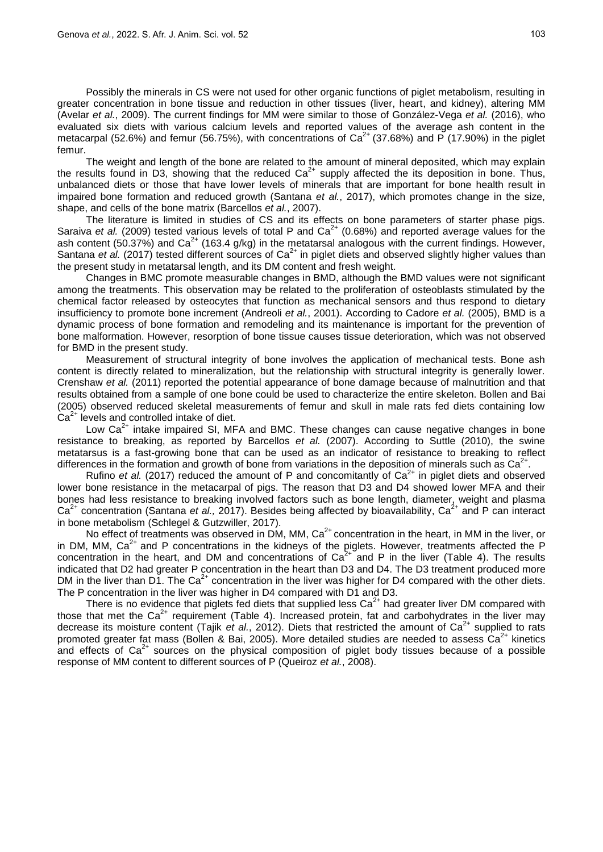Possibly the minerals in CS were not used for other organic functions of piglet metabolism, resulting in greater concentration in bone tissue and reduction in other tissues (liver, heart, and kidney), altering MM (Avelar *et al.*, 2009). The current findings for MM were similar to those of González-Vega *et al.* (2016), who evaluated six diets with various calcium levels and reported values of the average ash content in the metacarpal (52.6%) and femur (56.75%), with concentrations of  $Ca^{2+}$  (37.68%) and P (17.90%) in the piglet femur.

The weight and length of the bone are related to the amount of mineral deposited, which may explain the results found in D3, showing that the reduced  $Ca<sup>2+</sup>$  supply affected the its deposition in bone. Thus, unbalanced diets or those that have lower levels of minerals that are important for bone health result in impaired bone formation and reduced growth (Santana *et al.*, 2017), which promotes change in the size, shape, and cells of the bone matrix (Barcellos *et al.*, 2007).

The literature is limited in studies of CS and its effects on bone parameters of starter phase pigs. Saraiva et al. (2009) tested various levels of total P and Ca<sup>2+</sup> (0.68%) and reported average values for the ash content (50.37%) and Ca<sup>2+</sup> (163.4 g/kg) in the metatarsal analogous with the current findings. However, Santana *et al.* (2017) tested different sources of Ca<sup>2+</sup> in piglet diets and observed slightly higher values than the present study in metatarsal length, and its DM content and fresh weight.

Changes in BMC promote measurable changes in BMD, although the BMD values were not significant among the treatments. This observation may be related to the proliferation of osteoblasts stimulated by the chemical factor released by osteocytes that function as mechanical sensors and thus respond to dietary insufficiency to promote bone increment (Andreoli *et al.*, 2001). According to Cadore *et al.* (2005), BMD is a dynamic process of bone formation and remodeling and its maintenance is important for the prevention of bone malformation. However, resorption of bone tissue causes tissue deterioration, which was not observed for BMD in the present study.

Measurement of structural integrity of bone involves the application of mechanical tests. Bone ash content is directly related to mineralization, but the relationship with structural integrity is generally lower. Crenshaw *et al.* (2011) reported the potential appearance of bone damage because of malnutrition and that results obtained from a sample of one bone could be used to characterize the entire skeleton. Bollen and Bai (2005) observed reduced skeletal measurements of femur and skull in male rats fed diets containing low  $Ca<sup>2+</sup>$  levels and controlled intake of diet.

Low  $Ca<sup>2+</sup>$  intake impaired SI, MFA and BMC. These changes can cause negative changes in bone resistance to breaking, as reported by Barcellos *et al.* (2007). According to Suttle (2010), the swine metatarsus is a fast-growing bone that can be used as an indicator of resistance to breaking to reflect differences in the formation and growth of bone from variations in the deposition of minerals such as  $Ca<sup>2+</sup>$ .

Rufino *et al.* (2017) reduced the amount of P and concomitantly of  $Ca<sup>2+</sup>$  in piglet diets and observed lower bone resistance in the metacarpal of pigs. The reason that D3 and D4 showed lower MFA and their bones had less resistance to breaking involved factors such as bone length, diameter, weight and plasma Ca2+ concentration (Santana *et al.,* 2017). Besides being affected by bioavailability, Ca2+ and P can interact in bone metabolism (Schlegel & Gutzwiller, 2017).

No effect of treatments was observed in DM, MM,  $Ca<sup>2+</sup>$  concentration in the heart, in MM in the liver, or in DM, MM,  $Ca<sup>2+</sup>$  and P concentrations in the kidneys of the piglets. However, treatments affected the P concentration in the heart, and DM and concentrations of  $Ca<sup>2+</sup>$  and P in the liver (Table 4). The results indicated that D2 had greater P concentration in the heart than D3 and D4. The D3 treatment produced more DM in the liver than  $D\overline{1}$ . The Ca<sup>2+</sup> concentration in the liver was higher for D4 compared with the other diets. The P concentration in the liver was higher in D4 compared with D1 and D3.

There is no evidence that piglets fed diets that supplied less  $Ca<sup>2+</sup>$  had greater liver DM compared with those that met the  $Ca<sup>2+</sup>$  requirement (Table 4). Increased protein, fat and carbohydrates in the liver may decrease its moisture content (Taiik *et al.*, 2012). Diets that restricted the amount of Ca<sup>2+</sup> supplied to rats promoted greater fat mass (Bollen & Bai, 2005). More detailed studies are needed to assess  $Ca^{2+}$  kinetics and effects of  $Ca<sup>2+</sup>$  sources on the physical composition of piglet body tissues because of a possible response of MM content to different sources of P (Queiroz *et al.*, 2008).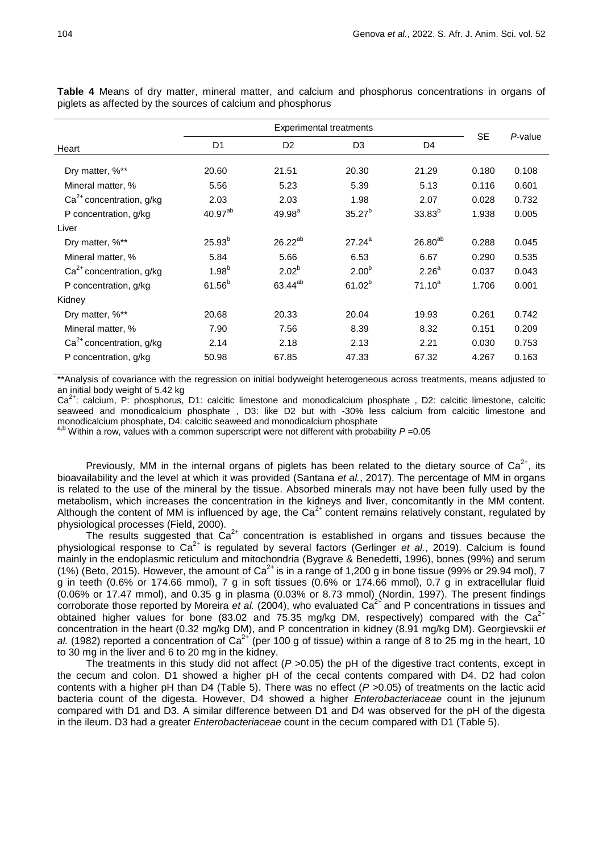| Heart                      | D <sub>1</sub> | D <sub>2</sub>      | D <sub>3</sub>    | D <sub>4</sub>    | <b>SE</b> | P-value |
|----------------------------|----------------|---------------------|-------------------|-------------------|-----------|---------|
| Dry matter, %**            | 20.60          | 21.51               | 20.30             | 21.29             | 0.180     | 0.108   |
| Mineral matter, %          | 5.56           | 5.23                | 5.39              | 5.13              | 0.116     | 0.601   |
| $Ca2+$ concentration, g/kg | 2.03           | 2.03                | 1.98              | 2.07              | 0.028     | 0.732   |
| P concentration, g/kg      | $40.97^{ab}$   | 49.98 <sup>a</sup>  | $35.27^{b}$       | $33.83^{b}$       | 1.938     | 0.005   |
| Liver                      |                |                     |                   |                   |           |         |
| Dry matter, %**            | $25.93^{b}$    | $26.22^{ab}$        | $27.24^{a}$       | $26.80^{ab}$      | 0.288     | 0.045   |
| Mineral matter, %          | 5.84           | 5.66                | 6.53              | 6.67              | 0.290     | 0.535   |
| $Ca2+$ concentration, g/kg | $1.98^{b}$     | $2.02^{b}$          | 2.00 <sup>b</sup> | 2.26 <sup>a</sup> | 0.037     | 0.043   |
| P concentration, g/kg      | $61.56^{b}$    | 63.44 <sup>ab</sup> | $61.02^{b}$       | $71.10^{a}$       | 1.706     | 0.001   |
| Kidney                     |                |                     |                   |                   |           |         |
| Dry matter, %**            | 20.68          | 20.33               | 20.04             | 19.93             | 0.261     | 0.742   |
| Mineral matter, %          | 7.90           | 7.56                | 8.39              | 8.32              | 0.151     | 0.209   |
| $Ca2+$ concentration, g/kg | 2.14           | 2.18                | 2.13              | 2.21              | 0.030     | 0.753   |
| P concentration, g/kg      | 50.98          | 67.85               | 47.33             | 67.32             | 4.267     | 0.163   |
|                            |                |                     |                   |                   |           |         |

**Table 4** Means of dry matter, mineral matter, and calcium and phosphorus concentrations in organs of piglets as affected by the sources of calcium and phosphorus

\*\*Analysis of covariance with the regression on initial bodyweight heterogeneous across treatments, means adjusted to an initial body weight of 5.42 kg

 $Ca<sup>2+</sup>$ : calcium, P: phosphorus, D1: calcitic limestone and monodicalcium phosphate , D2: calcitic limestone, calcitic seaweed and monodicalcium phosphate , D3: like D2 but with -30% less calcium from calcitic limestone and monodicalcium phosphate, D4: calcitic seaweed and monodicalcium phosphate

a,b Within a row, values with a common superscript were not different with probability *P* =0.05

Previously, MM in the internal organs of piglets has been related to the dietary source of  $Ca^{2+}$ , its bioavailability and the level at which it was provided (Santana *et al.*, 2017). The percentage of MM in organs is related to the use of the mineral by the tissue. Absorbed minerals may not have been fully used by the metabolism, which increases the concentration in the kidneys and liver, concomitantly in the MM content. Although the content of MM is influenced by age, the  $Ca<sup>2+</sup>$  content remains relatively constant, regulated by physiological processes (Field, 2000).

The results suggested that  $\text{Ca}^{2+}$  concentration is established in organs and tissues because the physiological response to Ca<sup>2+</sup> is regulated by several factors (Gerlinger *et al.*, 2019). Calcium is found mainly in the endoplasmic reticulum and mitochondria (Bygrave & Benedetti, 1996), bones (99%) and serum (1%) (Beto, 2015). However, the amount of Ca<sup>2+</sup> is in a range of 1,200 g in bone tissue (99% or 29.94 mol), 7 g in teeth (0.6% or 174.66 mmol), 7 g in soft tissues (0.6% or 174.66 mmol), 0.7 g in extracellular fluid (0.06% or 17.47 mmol), and 0.35 g in plasma (0.03% or 8.73 mmol) (Nordin, 1997). The present findings corroborate those reported by Moreira *et al.* (2004), who evaluated Ca<sup>2+</sup> and P concentrations in tissues and obtained higher values for bone (83.02 and 75.35 mg/kg DM, respectively) compared with the Ca<sup>2+</sup> concentration in the heart (0.32 mg/kg DM), and P concentration in kidney (8.91 mg/kg DM). Georgievskii *et*  al. (1982) reported a concentration of Ca<sup>2+</sup> (per 100 g of tissue) within a range of 8 to 25 mg in the heart, 10 to 30 mg in the liver and 6 to 20 mg in the kidney.

The treatments in this study did not affect (*P >*0.05) the pH of the digestive tract contents, except in the cecum and colon. D1 showed a higher pH of the cecal contents compared with D4. D2 had colon contents with a higher pH than D4 (Table 5). There was no effect (*P >*0.05) of treatments on the lactic acid bacteria count of the digesta. However, D4 showed a higher *Enterobacteriaceae* count in the jejunum compared with D1 and D3. A similar difference between D1 and D4 was observed for the pH of the digesta in the ileum. D3 had a greater *Enterobacteriaceae* count in the cecum compared with D1 (Table 5).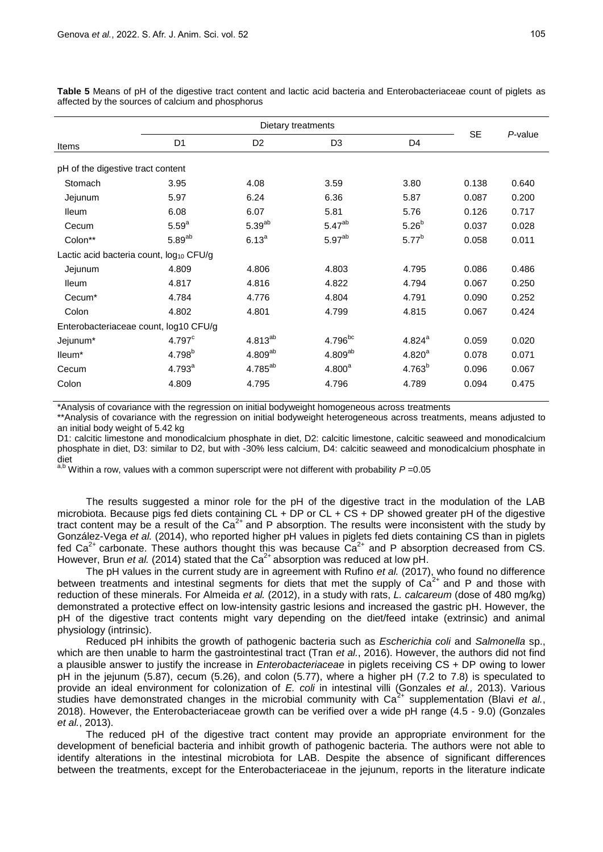|                                              |                    | P-value             |                    |                    |           |       |  |  |  |
|----------------------------------------------|--------------------|---------------------|--------------------|--------------------|-----------|-------|--|--|--|
| Items                                        | D <sub>1</sub>     | D <sub>2</sub>      | D <sub>3</sub>     | D <sub>4</sub>     | <b>SE</b> |       |  |  |  |
| pH of the digestive tract content            |                    |                     |                    |                    |           |       |  |  |  |
| Stomach                                      | 3.95               | 4.08                | 3.59               | 3.80               | 0.138     | 0.640 |  |  |  |
| Jejunum                                      | 5.97               | 6.24                | 6.36               | 5.87               | 0.087     | 0.200 |  |  |  |
| <b>Ileum</b>                                 | 6.08               | 6.07                | 5.81               | 5.76               | 0.126     | 0.717 |  |  |  |
| Cecum                                        | 5.59 <sup>a</sup>  | $5.39^{ab}$         | 5.47 <sup>ab</sup> | $5.26^{b}$         | 0.037     | 0.028 |  |  |  |
| Colon**                                      | $5.89^{ab}$        | $6.13^{a}$          | 5.97 <sup>ab</sup> | $5.77^{b}$         | 0.058     | 0.011 |  |  |  |
| Lactic acid bacteria count, $log_{10}$ CFU/g |                    |                     |                    |                    |           |       |  |  |  |
| Jejunum                                      | 4.809              | 4.806               | 4.803              | 4.795              | 0.086     | 0.486 |  |  |  |
| <b>Ileum</b>                                 | 4.817              | 4.816               | 4.822              | 4.794              | 0.067     | 0.250 |  |  |  |
| Cecum <sup>*</sup>                           | 4.784              | 4.776               | 4.804              | 4.791              | 0.090     | 0.252 |  |  |  |
| Colon                                        | 4.802              | 4.801               | 4.799              | 4.815              | 0.067     | 0.424 |  |  |  |
| Enterobacteriaceae count, log10 CFU/g        |                    |                     |                    |                    |           |       |  |  |  |
| Jejunum*                                     | 4.797 <sup>c</sup> | $4.813^{ab}$        | $4.796$ bc         | $4.824^{a}$        | 0.059     | 0.020 |  |  |  |
| lleum*                                       | $4.798^{b}$        | $4.809^{ab}$        | $4.809^{ab}$       | 4.820 <sup>a</sup> | 0.078     | 0.071 |  |  |  |
| Cecum                                        | $4.793^{a}$        | 4.785 <sup>ab</sup> | 4.800 <sup>a</sup> | $4.763^{b}$        | 0.096     | 0.067 |  |  |  |
| Colon                                        | 4.809              | 4.795               | 4.796              | 4.789              | 0.094     | 0.475 |  |  |  |
|                                              |                    |                     |                    |                    |           |       |  |  |  |

**Table 5** Means of pH of the digestive tract content and lactic acid bacteria and Enterobacteriaceae count of piglets as affected by the sources of calcium and phosphorus

\*Analysis of covariance with the regression on initial bodyweight homogeneous across treatments

\*\*Analysis of covariance with the regression on initial bodyweight heterogeneous across treatments, means adjusted to an initial body weight of 5.42 kg

D1: calcitic limestone and monodicalcium phosphate in diet, D2: calcitic limestone, calcitic seaweed and monodicalcium phosphate in diet, D3: similar to D2, but with -30% less calcium, D4: calcitic seaweed and monodicalcium phosphate in diet

 $a,b$  Within a row, values with a common superscript were not different with probability  $P = 0.05$ 

The results suggested a minor role for the pH of the digestive tract in the modulation of the LAB microbiota. Because pigs fed diets containing  $CL + DP$  or  $CL + CS + DP$  showed greater pH of the digestive tract content may be a result of the  $Ca<sup>2+</sup>$  and P absorption. The results were inconsistent with the study by González-Vega *et al.* (2014), who reported higher pH values in piglets fed diets containing CS than in piglets fed Ca<sup>2+</sup> carbonate. These authors thought this was because  $Ca<sup>2+</sup>$  and P absorption decreased from CS. However, Brun *et al.* (2014) stated that the Ca<sup>2+</sup> absorption was reduced at low pH.

The pH values in the current study are in agreement with Rufino *et al.* (2017), who found no difference between treatments and intestinal segments for diets that met the supply of  $Ca<sup>2+</sup>$  and P and those with reduction of these minerals. For Almeida *et al.* (2012), in a study with rats, *L. calcareum* (dose of 480 mg/kg) demonstrated a protective effect on low-intensity gastric lesions and increased the gastric pH. However, the pH of the digestive tract contents might vary depending on the diet/feed intake (extrinsic) and animal physiology (intrinsic).

Reduced pH inhibits the growth of pathogenic bacteria such as *Escherichia coli* and *Salmonella* sp., which are then unable to harm the gastrointestinal tract (Tran *et al.*, 2016). However, the authors did not find a plausible answer to justify the increase in *Enterobacteriaceae* in piglets receiving CS + DP owing to lower pH in the jejunum (5.87), cecum (5.26), and colon (5.77), where a higher pH (7.2 to 7.8) is speculated to provide an ideal environment for colonization of *E. coli* in intestinal villi (Gonzales *et al.,* 2013). Various studies have demonstrated changes in the microbial community with Ca<sup>2+</sup> supplementation (Blavi *et al.*, 2018). However, the Enterobacteriaceae growth can be verified over a wide pH range (4.5 - 9.0) (Gonzales *et al.*, 2013).

The reduced pH of the digestive tract content may provide an appropriate environment for the development of beneficial bacteria and inhibit growth of pathogenic bacteria. The authors were not able to identify alterations in the intestinal microbiota for LAB. Despite the absence of significant differences between the treatments, except for the Enterobacteriaceae in the jejunum, reports in the literature indicate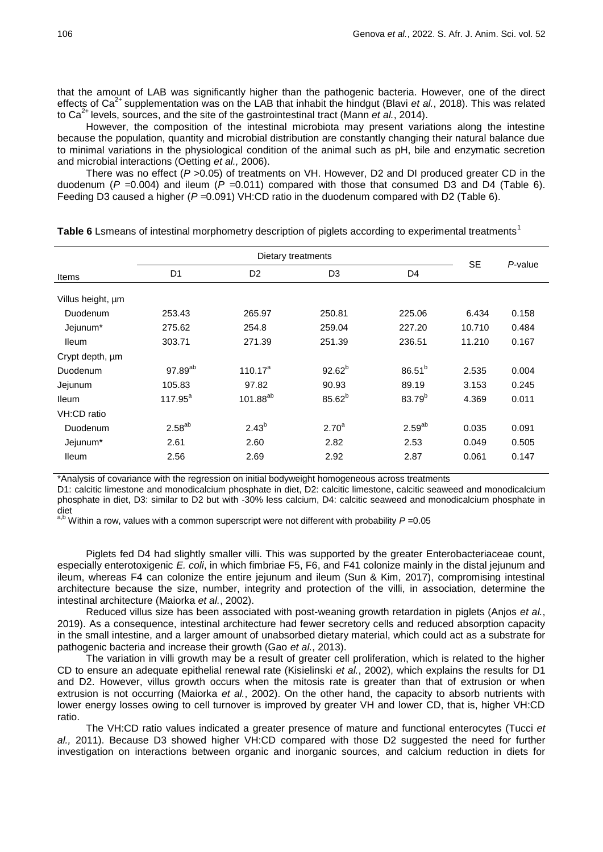that the amount of LAB was significantly higher than the pathogenic bacteria. However, one of the direct effects of Ca<sup>2+</sup> supplementation was on the LAB that inhabit the hindgut (Blavi *et al.*, 2018). This was related to Ca2+ levels, sources, and the site of the gastrointestinal tract (Mann *et al.*, 2014).

However, the composition of the intestinal microbiota may present variations along the intestine because the population, quantity and microbial distribution are constantly changing their natural balance due to minimal variations in the physiological condition of the animal such as pH, bile and enzymatic secretion and microbial interactions (Oetting *et al.,* 2006).

There was no effect (*P >*0.05) of treatments on VH. However, D2 and DI produced greater CD in the duodenum (*P =*0.004) and ileum (*P =*0.011) compared with those that consumed D3 and D4 (Table 6). Feeding D3 caused a higher (*P =*0.091) VH:CD ratio in the duodenum compared with D2 (Table 6).

|                               |                     | <b>SE</b>            | P-value           |                    |        |       |
|-------------------------------|---------------------|----------------------|-------------------|--------------------|--------|-------|
| Items                         | D <sub>1</sub>      | D <sub>2</sub>       | D <sub>3</sub>    | D <sub>4</sub>     |        |       |
| Villus height, um<br>Duodenum | 253.43              | 265.97               | 250.81            | 225.06             | 6.434  | 0.158 |
| Jejunum*                      | 275.62              | 254.8                | 259.04            | 227.20             | 10.710 | 0.484 |
| <b>Ileum</b>                  | 303.71              | 271.39               | 251.39            | 236.51             | 11.210 | 0.167 |
| Crypt depth, um               |                     |                      |                   |                    |        |       |
| Duodenum                      | 97.89 <sup>ab</sup> | $110.17^a$           | $92.62^{b}$       | $86.51^{b}$        | 2.535  | 0.004 |
| Jejunum                       | 105.83              | 97.82                | 90.93             | 89.19              | 3.153  | 0.245 |
| <b>Ileum</b>                  | $117.95^a$          | 101.88 <sup>ab</sup> | $85.62^{b}$       | 83.79 <sup>b</sup> | 4.369  | 0.011 |
| VH:CD ratio                   |                     |                      |                   |                    |        |       |
| Duodenum                      | $2.58^{ab}$         | $2.43^{b}$           | 2.70 <sup>a</sup> | $2.59^{ab}$        | 0.035  | 0.091 |
| Jejunum*                      | 2.61                | 2.60                 | 2.82              | 2.53               | 0.049  | 0.505 |
| <b>Ileum</b>                  | 2.56                | 2.69                 | 2.92              | 2.87               | 0.061  | 0.147 |

**Table 6** Lsmeans of intestinal morphometry description of piglets according to experimental treatments<sup>1</sup>

\*Analysis of covariance with the regression on initial bodyweight homogeneous across treatments

D1: calcitic limestone and monodicalcium phosphate in diet. D2: calcitic limestone, calcitic seaweed and monodicalcium phosphate in diet, D3: similar to D2 but with -30% less calcium, D4: calcitic seaweed and monodicalcium phosphate in diet

 $a,b$  Within a row, values with a common superscript were not different with probability  $P = 0.05$ 

Piglets fed D4 had slightly smaller villi. This was supported by the greater Enterobacteriaceae count, especially enterotoxigenic *E. coli*, in which fimbriae F5, F6, and F41 colonize mainly in the distal jejunum and ileum, whereas F4 can colonize the entire jejunum and ileum (Sun & Kim, 2017), compromising intestinal architecture because the size, number, integrity and protection of the villi, in association, determine the intestinal architecture (Maiorka *et al.*, 2002).

Reduced villus size has been associated with post-weaning growth retardation in piglets (Anjos *et al.*, 2019). As a consequence, intestinal architecture had fewer secretory cells and reduced absorption capacity in the small intestine, and a larger amount of unabsorbed dietary material, which could act as a substrate for pathogenic bacteria and increase their growth (Gao *et al.*, 2013).

The variation in villi growth may be a result of greater cell proliferation, which is related to the higher CD to ensure an adequate epithelial renewal rate (Kisielinski *et al.*, 2002), which explains the results for D1 and D2. However, villus growth occurs when the mitosis rate is greater than that of extrusion or when extrusion is not occurring (Maiorka *et al.*, 2002). On the other hand, the capacity to absorb nutrients with lower energy losses owing to cell turnover is improved by greater VH and lower CD, that is, higher VH:CD ratio.

The VH:CD ratio values indicated a greater presence of mature and functional enterocytes (Tucci *et al.,* 2011). Because D3 showed higher VH:CD compared with those D2 suggested the need for further investigation on interactions between organic and inorganic sources, and calcium reduction in diets for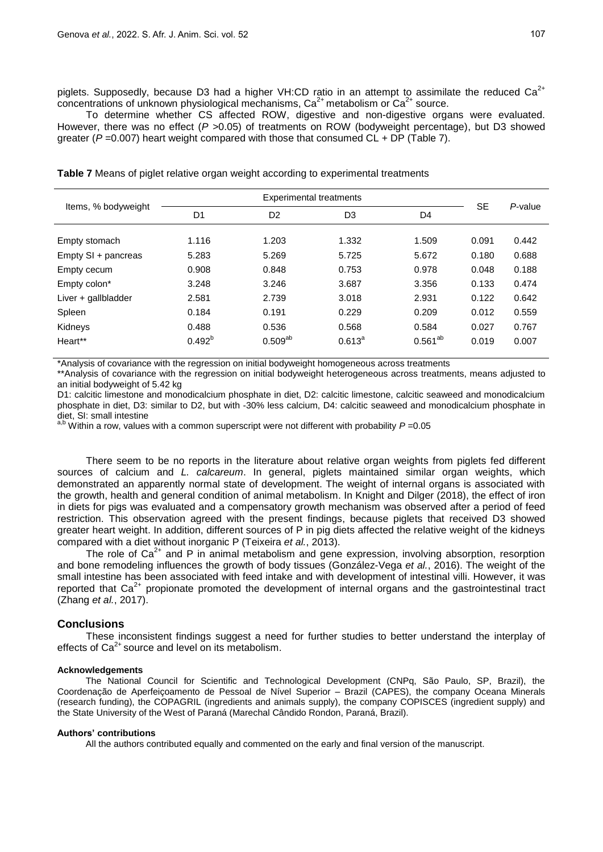To determine whether CS affected ROW, digestive and non-digestive organs were evaluated. However, there was no effect (*P >*0.05) of treatments on ROW (bodyweight percentage), but D3 showed greater (*P =*0.007) heart weight compared with those that consumed CL + DP (Table 7).

| Items, % bodyweight |                |                |                |              |           |         |
|---------------------|----------------|----------------|----------------|--------------|-----------|---------|
|                     | D <sub>1</sub> | D <sub>2</sub> | D <sub>3</sub> | D4           | <b>SE</b> | P-value |
| Empty stomach       | 1.116          | 1.203          | 1.332          | 1.509        | 0.091     | 0.442   |
| Empty SI + pancreas | 5.283          | 5.269          | 5.725          | 5.672        | 0.180     | 0.688   |
| Empty cecum         | 0.908          | 0.848          | 0.753          | 0.978        | 0.048     | 0.188   |
| Empty colon*        | 3.248          | 3.246          | 3.687          | 3.356        | 0.133     | 0.474   |
| Liver + gallbladder | 2.581          | 2.739          | 3.018          | 2.931        | 0.122     | 0.642   |
| Spleen              | 0.184          | 0.191          | 0.229          | 0.209        | 0.012     | 0.559   |
| Kidneys             | 0.488          | 0.536          | 0.568          | 0.584        | 0.027     | 0.767   |
| Heart**             | $0.492^{b}$    | $0.509^{ab}$   | $0.613^a$      | $0.561^{ab}$ | 0.019     | 0.007   |

**Table 7** Means of piglet relative organ weight according to experimental treatments

\*Analysis of covariance with the regression on initial bodyweight homogeneous across treatments

\*\*Analysis of covariance with the regression on initial bodyweight heterogeneous across treatments, means adjusted to an initial bodyweight of 5.42 kg

D1: calcitic limestone and monodicalcium phosphate in diet, D2: calcitic limestone, calcitic seaweed and monodicalcium phosphate in diet, D3: similar to D2, but with -30% less calcium, D4: calcitic seaweed and monodicalcium phosphate in diet, SI: small intestine

a,b Within a row, values with a common superscript were not different with probability *P* = 0.05

There seem to be no reports in the literature about relative organ weights from piglets fed different sources of calcium and *L. calcareum*. In general, piglets maintained similar organ weights, which demonstrated an apparently normal state of development. The weight of internal organs is associated with the growth, health and general condition of animal metabolism. In Knight and Dilger (2018), the effect of iron in diets for pigs was evaluated and a compensatory growth mechanism was observed after a period of feed restriction. This observation agreed with the present findings, because piglets that received D3 showed greater heart weight. In addition, different sources of P in pig diets affected the relative weight of the kidneys compared with a diet without inorganic P (Teixeira *et al.*, 2013).

The role of  $Ca^{2+}$  and P in animal metabolism and gene expression, involving absorption, resorption and bone remodeling influences the growth of body tissues (González-Vega *et al.*, 2016). The weight of the small intestine has been associated with feed intake and with development of intestinal villi. However, it was reported that  $Ca<sup>2+</sup>$  propionate promoted the development of internal organs and the gastrointestinal tract (Zhang *et al.*, 2017).

#### **Conclusions**

These inconsistent findings suggest a need for further studies to better understand the interplay of effects of  $Ca<sup>2+</sup>$  source and level on its metabolism.

#### **Acknowledgements**

The National Council for Scientific and Technological Development (CNPq, São Paulo, SP, Brazil), the Coordenação de Aperfeiçoamento de Pessoal de Nível Superior – Brazil (CAPES), the company Oceana Minerals (research funding), the COPAGRIL (ingredients and animals supply), the company COPISCES (ingredient supply) and the State University of the West of Paraná (Marechal Cândido Rondon, Paraná, Brazil).

#### **Authors' contributions**

All the authors contributed equally and commented on the early and final version of the manuscript.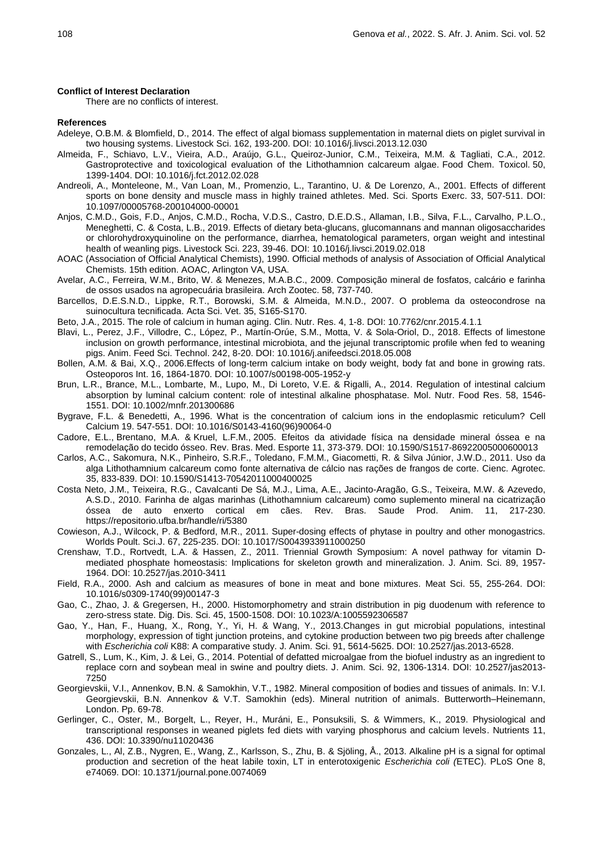#### **Conflict of Interest Declaration**

There are no conflicts of interest.

#### **References**

- Adeleye, O.B.M. & Blomfield, D., 2014. The effect of algal biomass supplementation in maternal diets on piglet survival in two housing systems. Livestock Sci. 162, 193-200. DOI: 10.1016/j.livsci.2013.12.030
- Almeida, F., Schiavo, L.V., Vieira, A.D., Araújo, G.L., Queiroz-Junior, C.M., Teixeira, M.M. & Tagliati, C.A., 2012. Gastroprotective and toxicological evaluation of the Lithothamnion calcareum algae. Food Chem. Toxicol. 50, 1399-1404. DOI: 10.1016/j.fct.2012.02.028
- Andreoli, A., Monteleone, M., Van Loan, M., Promenzio, L., Tarantino, U. & De Lorenzo, A., 2001. Effects of different sports on bone density and muscle mass in highly trained athletes. Med. Sci. Sports Exerc. 33, 507-511. DOI: 10.1097/00005768-200104000-00001
- Anjos, C.M.D., Gois, F.D., Anjos, C.M.D., Rocha, V.D.S., Castro, D.E.D.S., Allaman, I.B., Silva, F.L., Carvalho, P.L.O., Meneghetti, C. & Costa, L.B., 2019. Effects of dietary beta-glucans, glucomannans and mannan oligosaccharides or chlorohydroxyquinoline on the performance, diarrhea, hematological parameters, organ weight and intestinal health of weanling pigs. Livestock Sci. 223, 39-46. DOI: 10.1016/j.livsci.2019.02.018
- AOAC (Association of Official Analytical Chemists), 1990. Official methods of analysis of Association of Official Analytical Chemists. 15th edition. AOAC, Arlington VA, USA.
- Avelar, A.C., Ferreira, W.M., Brito, W. & Menezes, M.A.B.C., 2009. Composição mineral de fosfatos, calcário e farinha de ossos usados na agropecuária brasileira. Arch Zootec. 58, 737-740.
- Barcellos, D.E.S.N.D., Lippke, R.T., Borowski, S.M. & Almeida, M.N.D., 2007. O problema da osteocondrose na suinocultura tecnificada. Acta Sci. Vet. 35, S165-S170.
- Beto, J.A., 2015. The role of calcium in human aging. Clin. Nutr. Res. 4, 1-8. DOI: 10.7762/cnr.2015.4.1.1
- Blavi, L., Perez, J.F., Villodre, C., López, P., Martín-Orúe, S.M., Motta, V. & Sola-Oriol, D., 2018. Effects of limestone inclusion on growth performance, intestinal microbiota, and the jejunal transcriptomic profile when fed to weaning pigs. Anim. Feed Sci. Technol. 242, 8-20. DOI: 10.1016/j.anifeedsci.2018.05.008
- Bollen, A.M. & Bai, X.Q., 2006.Effects of long-term calcium intake on body weight, body fat and bone in growing rats. Osteoporos Int. 16, 1864-1870. DOI: 10.1007/s00198-005-1952-y
- Brun, L.R., Brance, M.L., Lombarte, M., Lupo, M., Di Loreto, V.E. & Rigalli, A., 2014. Regulation of intestinal calcium absorption by luminal calcium content: role of intestinal alkaline phosphatase. Mol. Nutr. Food Res. 58, 1546- 1551. DOI: 10.1002/mnfr.201300686
- Bygrave, F.L. & Benedetti, A., 1996. What is the concentration of calcium ions in the endoplasmic reticulum? Cell Calcium 19. 547-551. DOI: 10.1016/S0143-4160(96)90064-0
- Cadore, E.L., Brentano, M.A. & Kruel, L.F.M., 2005. Efeitos da atividade física na densidade mineral óssea e na remodelação do tecido ósseo. Rev. Bras. Med. Esporte 11, 373-379. DOI: 10.1590/S1517-86922005000600013
- Carlos, A.C., Sakomura, N.K., Pinheiro, S.R.F., Toledano, F.M.M., Giacometti, R. & Silva Júnior, J.W.D., 2011. Uso da alga Lithothamnium calcareum como fonte alternativa de cálcio nas rações de frangos de corte. Cienc. Agrotec. 35, 833-839. DOI: 10.1590/S1413-70542011000400025
- Costa Neto, J.M., Teixeira, R.G., Cavalcanti De Sá, M.J., Lima, A.E., Jacinto-Aragão, G.S., Teixeira, M.W. & Azevedo, A.S.D., 2010. Farinha de algas marinhas (Lithothamnium calcareum) como suplemento mineral na cicatrização óssea de auto enxerto cortical em cães. Rev. Bras. Saude Prod. Anim. 11, 217-230. https://repositorio.ufba.br/handle/ri/5380
- Cowieson, A.J., Wilcock, P. & Bedford, M.R., 2011. Super-dosing effects of phytase in poultry and other monogastrics. Worlds Poult. Sci.J. 67, 225-235. DOI: 10.1017/S0043933911000250
- Crenshaw, T.D., Rortvedt, L.A. & Hassen, Z., 2011. Triennial Growth Symposium: A novel pathway for vitamin Dmediated phosphate homeostasis: Implications for skeleton growth and mineralization. J. Anim. Sci. 89, 1957- 1964. DOI: 10.2527/jas.2010-3411
- Field, R.A., 2000. Ash and calcium as measures of bone in meat and bone mixtures. Meat Sci. 55, 255-264. DOI: 10.1016/s0309-1740(99)00147-3
- Gao, C., Zhao, J. & Gregersen, H., 2000. Histomorphometry and strain distribution in pig duodenum with reference to zero-stress state. Dig. Dis. Sci. 45, 1500-1508. DOI: 10.1023/A:1005592306587
- Gao, Y., Han, F., Huang, X., Rong, Y., Yi, H. & Wang, Y., 2013.Changes in gut microbial populations, intestinal morphology, expression of tight junction proteins, and cytokine production between two pig breeds after challenge with *Escherichia coli* K88: A comparative study. J. Anim. Sci. 91, 5614-5625. DOI: 10.2527/jas.2013-6528.
- Gatrell, S., Lum, K., Kim, J. & Lei, G., 2014. Potential of defatted microalgae from the biofuel industry as an ingredient to replace corn and soybean meal in swine and poultry diets. J. Anim. Sci. 92, 1306-1314. DOI: 10.2527/jas2013- 7250
- Georgievskii, V.I., Annenkov, B.N. & Samokhin, V.T., 1982. Mineral composition of bodies and tissues of animals. In: V.I. Georgievskii, B.N. Annenkov & V.T. Samokhin (eds). Mineral nutrition of animals. Butterworth–Heinemann, London. Pp. 69-78.
- Gerlinger, C., Oster, M., Borgelt, L., Reyer, H., Muráni, E., Ponsuksili, S. & Wimmers, K., 2019. Physiological and transcriptional responses in weaned piglets fed diets with varying phosphorus and calcium levels. Nutrients 11, 436. DOI: 10.3390/nu11020436
- Gonzales, L., Al, Z.B., Nygren, E., Wang, Z., Karlsson, S., Zhu, B. & Sjöling, Å., 2013. Alkaline pH is a signal for optimal production and secretion of the heat labile toxin, LT in enterotoxigenic *Escherichia coli (*ETEC). PLoS One 8, e74069. DOI: 10.1371/journal.pone.0074069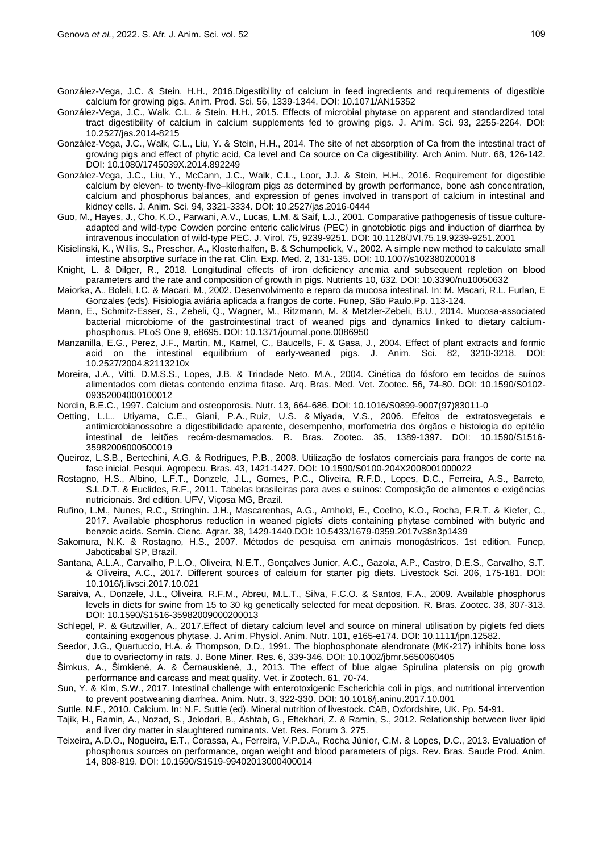González-Vega, J.C. & Stein, H.H., 2016.Digestibility of calcium in feed ingredients and requirements of digestible calcium for growing pigs. Anim. Prod. Sci. 56, 1339-1344. DOI: 10.1071/AN15352

- González-Vega, J.C., Walk, C.L. & Stein, H.H., 2015. Effects of microbial phytase on apparent and standardized total tract digestibility of calcium in calcium supplements fed to growing pigs. J. Anim. Sci. 93, 2255-2264. DOI: 10.2527/jas.2014-8215
- González-Vega, J.C., Walk, C.L., Liu, Y. & Stein, H.H., 2014. The site of net absorption of Ca from the intestinal tract of growing pigs and effect of phytic acid, Ca level and Ca source on Ca digestibility. Arch Anim. Nutr. 68, 126-142. DOI: 10.1080/1745039X.2014.892249
- González-Vega, J.C., Liu, Y., McCann, J.C., Walk, C.L., Loor, J.J. & Stein, H.H., 2016. Requirement for digestible calcium by eleven- to twenty-five–kilogram pigs as determined by growth performance, bone ash concentration, calcium and phosphorus balances, and expression of genes involved in transport of calcium in intestinal and kidney cells. J. Anim. Sci. 94, 3321-3334. DOI: 10.2527/jas.2016-0444
- Guo, M., Hayes, J., Cho, K.O., Parwani, A.V., Lucas, L.M. & Saif, L.J., 2001. Comparative pathogenesis of tissue cultureadapted and wild-type Cowden porcine enteric calicivirus (PEC) in gnotobiotic pigs and induction of diarrhea by intravenous inoculation of wild-type PEC. J. Virol. 75, 9239-9251. DOI: 10.1128/JVI.75.19.9239-9251.2001
- Kisielinski, K., Willis, S., Prescher, A., Klosterhalfen, B. & Schumpelick, V., 2002. A simple new method to calculate small intestine absorptive surface in the rat. Clin. Exp. Med. 2, 131-135. DOI: 10.1007/s102380200018
- Knight, L. & Dilger, R., 2018. Longitudinal effects of iron deficiency anemia and subsequent repletion on blood parameters and the rate and composition of growth in pigs. Nutrients 10, 632. DOI: 10.3390/nu10050632
- Maiorka, A., Boleli, I.C. & Macari, M., 2002. Desenvolvimento e reparo da mucosa intestinal. In: M. Macari, R.L. Furlan, E Gonzales (eds). Fisiologia aviária aplicada a frangos de corte. Funep, São Paulo.Pp. 113-124.
- Mann, E., Schmitz-Esser, S., Zebeli, Q., Wagner, M., Ritzmann, M. & Metzler-Zebeli, B.U., 2014. Mucosa-associated bacterial microbiome of the gastrointestinal tract of weaned pigs and dynamics linked to dietary calciumphosphorus. PLoS One 9, e8695. DOI: 10.1371/journal.pone.0086950
- Manzanilla, E.G., Perez, J.F., Martin, M., Kamel, C., Baucells, F. & Gasa, J., 2004. Effect of plant extracts and formic acid on the intestinal equilibrium of early-weaned pigs. J. Anim. Sci. 82, 3210-3218. DOI: 10.2527/2004.82113210x
- Moreira, J.A., Vitti, D.M.S.S., Lopes, J.B. & Trindade Neto, M.A., 2004. Cinética do fósforo em tecidos de suínos alimentados com dietas contendo enzima fitase. Arq. Bras. Med. Vet. Zootec. 56, 74-80. DOI: 10.1590/S0102- 09352004000100012
- Nordin, B.E.C., 1997. Calcium and osteoporosis. Nutr. 13, 664-686. DOI: 10.1016/S0899-9007(97)83011-0
- Oetting, L.L., Utiyama, C.E., Giani, P.A., Ruiz, U.S. & Miyada, V.S., 2006. Efeitos de extratosvegetais e antimicrobianossobre a digestibilidade aparente, desempenho, morfometria dos órgãos e histologia do epitélio intestinal de leitões recém-desmamados. R. Bras. Zootec. 35, 1389-1397. DOI: 10.1590/S1516- 35982006000500019
- Queiroz, L.S.B., Bertechini, A.G. & Rodrigues, P.B., 2008. Utilização de fosfatos comerciais para frangos de corte na fase inicial. Pesqui. Agropecu. Bras. 43, 1421-1427. DOI: 10.1590/S0100-204X2008001000022
- Rostagno, H.S., Albino, L.F.T., Donzele, J.L., Gomes, P.C., Oliveira, R.F.D., Lopes, D.C., Ferreira, A.S., Barreto, S.L.D.T. & Euclides, R.F., 2011. Tabelas brasileiras para aves e suínos: Composição de alimentos e exigências nutricionais. 3rd edition. UFV, Viçosa MG, Brazil.
- Rufino, L.M., Nunes, R.C., Stringhin. J.H., Mascarenhas, A.G., Arnhold, E., Coelho, K.O., Rocha, F.R.T. & Kiefer, C., 2017. Available phosphorus reduction in weaned piglets' diets containing phytase combined with butyric and benzoic acids. Semin. Cienc. Agrar. 38, 1429-1440.DOI: 10.5433/1679-0359.2017v38n3p1439
- Sakomura, N.K. & Rostagno, H.S., 2007. Métodos de pesquisa em animais monogástricos. 1st edition. Funep, Jaboticabal SP, Brazil.
- Santana, A.L.A., Carvalho, P.L.O., Oliveira, N.E.T., Gonçalves Junior, A.C., Gazola, A.P., Castro, D.E.S., Carvalho, S.T. & Oliveira, A.C., 2017. Different sources of calcium for starter pig diets. Livestock Sci. 206, 175-181. DOI: 10.1016/j.livsci.2017.10.021
- Saraiva, A., Donzele, J.L., Oliveira, R.F.M., Abreu, M.L.T., Silva, F.C.O. & Santos, F.A., 2009. Available phosphorus levels in diets for swine from 15 to 30 kg genetically selected for meat deposition. R. Bras. Zootec. 38, 307-313. DOI: 10.1590/S1516-35982009000200013
- Schlegel, P. & Gutzwiller, A., 2017.Effect of dietary calcium level and source on mineral utilisation by piglets fed diets containing exogenous phytase. J. Anim. Physiol. Anim. Nutr. 101, e165-e174. DOI: 10.1111/jpn.12582.
- Seedor, J.G., Quartuccio, H.A. & Thompson, D.D., 1991. The biophosphonate alendronate (MK-217) inhibits bone loss due to ovariectomy in rats. J. Bone Miner. Res. 6, 339-346. DOI: 10.1002/jbmr.5650060405
- Šimkus, A., Šimkienė, A. & Černauskienė, J., 2013. The effect of blue algae Spirulina platensis on pig growth performance and carcass and meat quality. Vet. ir Zootech. 61, 70-74.
- Sun, Y. & Kim, S.W., 2017. Intestinal challenge with enterotoxigenic Escherichia coli in pigs, and nutritional intervention to prevent postweaning diarrhea. Anim. Nutr. 3, 322-330. DOI: 10.1016/j.aninu.2017.10.001
- Suttle, N.F., 2010. Calcium. In: N.F. Suttle (ed). Mineral nutrition of livestock. CAB, Oxfordshire, UK. Pp. 54-91.
- Tajik, H., Ramin, A., Nozad, S., Jelodari, B., Ashtab, G., Eftekhari, Z. & Ramin, S., 2012. Relationship between liver lipid and liver dry matter in slaughtered ruminants. Vet. Res. Forum 3, 275.
- Teixeira, A.D.O., Nogueira, E.T., Corassa, A., Ferreira, V.P.D.A., Rocha Júnior, C.M. & Lopes, D.C., 2013. Evaluation of phosphorus sources on performance, organ weight and blood parameters of pigs. Rev. Bras. Saude Prod. Anim. 14, 808-819. DOI: 10.1590/S1519-99402013000400014